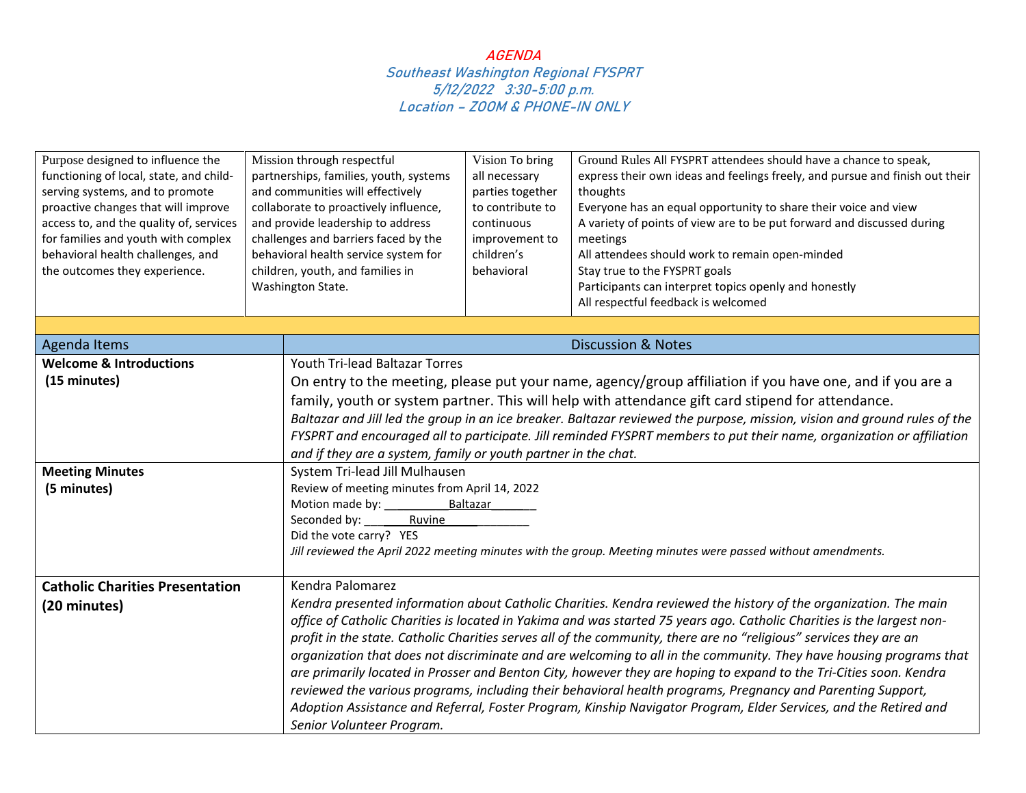| Purpose designed to influence the<br>functioning of local, state, and child-<br>serving systems, and to promote<br>proactive changes that will improve<br>access to, and the quality of, services<br>for families and youth with complex<br>behavioral health challenges, and<br>the outcomes they experience. | Mission through respectful<br>partnerships, families, youth, systems<br>and communities will effectively<br>collaborate to proactively influence,<br>and provide leadership to address<br>challenges and barriers faced by the<br>behavioral health service system for<br>children, youth, and families in<br>Washington State. |                                                                                                                  | Vision To bring<br>all necessary<br>parties together<br>to contribute to<br>continuous<br>improvement to<br>children's<br>behavioral | Ground Rules All FYSPRT attendees should have a chance to speak,<br>express their own ideas and feelings freely, and pursue and finish out their<br>thoughts<br>Everyone has an equal opportunity to share their voice and view<br>A variety of points of view are to be put forward and discussed during<br>meetings<br>All attendees should work to remain open-minded<br>Stay true to the FYSPRT goals<br>Participants can interpret topics openly and honestly<br>All respectful feedback is welcomed |  |
|----------------------------------------------------------------------------------------------------------------------------------------------------------------------------------------------------------------------------------------------------------------------------------------------------------------|---------------------------------------------------------------------------------------------------------------------------------------------------------------------------------------------------------------------------------------------------------------------------------------------------------------------------------|------------------------------------------------------------------------------------------------------------------|--------------------------------------------------------------------------------------------------------------------------------------|-----------------------------------------------------------------------------------------------------------------------------------------------------------------------------------------------------------------------------------------------------------------------------------------------------------------------------------------------------------------------------------------------------------------------------------------------------------------------------------------------------------|--|
| <b>Agenda Items</b>                                                                                                                                                                                                                                                                                            |                                                                                                                                                                                                                                                                                                                                 |                                                                                                                  |                                                                                                                                      | <b>Discussion &amp; Notes</b>                                                                                                                                                                                                                                                                                                                                                                                                                                                                             |  |
| <b>Welcome &amp; Introductions</b>                                                                                                                                                                                                                                                                             |                                                                                                                                                                                                                                                                                                                                 | Youth Tri-lead Baltazar Torres                                                                                   |                                                                                                                                      |                                                                                                                                                                                                                                                                                                                                                                                                                                                                                                           |  |
| (15 minutes)                                                                                                                                                                                                                                                                                                   |                                                                                                                                                                                                                                                                                                                                 |                                                                                                                  |                                                                                                                                      | On entry to the meeting, please put your name, agency/group affiliation if you have one, and if you are a                                                                                                                                                                                                                                                                                                                                                                                                 |  |
|                                                                                                                                                                                                                                                                                                                |                                                                                                                                                                                                                                                                                                                                 |                                                                                                                  | family, youth or system partner. This will help with attendance gift card stipend for attendance.                                    |                                                                                                                                                                                                                                                                                                                                                                                                                                                                                                           |  |
|                                                                                                                                                                                                                                                                                                                |                                                                                                                                                                                                                                                                                                                                 |                                                                                                                  |                                                                                                                                      | Baltazar and Jill led the group in an ice breaker. Baltazar reviewed the purpose, mission, vision and ground rules of the                                                                                                                                                                                                                                                                                                                                                                                 |  |
|                                                                                                                                                                                                                                                                                                                |                                                                                                                                                                                                                                                                                                                                 |                                                                                                                  |                                                                                                                                      | FYSPRT and encouraged all to participate. Jill reminded FYSPRT members to put their name, organization or affiliation                                                                                                                                                                                                                                                                                                                                                                                     |  |
|                                                                                                                                                                                                                                                                                                                |                                                                                                                                                                                                                                                                                                                                 | and if they are a system, family or youth partner in the chat.                                                   |                                                                                                                                      |                                                                                                                                                                                                                                                                                                                                                                                                                                                                                                           |  |
| <b>Meeting Minutes</b>                                                                                                                                                                                                                                                                                         |                                                                                                                                                                                                                                                                                                                                 | System Tri-lead Jill Mulhausen                                                                                   |                                                                                                                                      |                                                                                                                                                                                                                                                                                                                                                                                                                                                                                                           |  |
| (5 minutes)                                                                                                                                                                                                                                                                                                    |                                                                                                                                                                                                                                                                                                                                 | Review of meeting minutes from April 14, 2022                                                                    |                                                                                                                                      |                                                                                                                                                                                                                                                                                                                                                                                                                                                                                                           |  |
|                                                                                                                                                                                                                                                                                                                |                                                                                                                                                                                                                                                                                                                                 |                                                                                                                  | Baltazar                                                                                                                             |                                                                                                                                                                                                                                                                                                                                                                                                                                                                                                           |  |
|                                                                                                                                                                                                                                                                                                                |                                                                                                                                                                                                                                                                                                                                 | Seconded by: _____<br>Ruvine                                                                                     |                                                                                                                                      |                                                                                                                                                                                                                                                                                                                                                                                                                                                                                                           |  |
|                                                                                                                                                                                                                                                                                                                |                                                                                                                                                                                                                                                                                                                                 | Did the vote carry? YES                                                                                          |                                                                                                                                      |                                                                                                                                                                                                                                                                                                                                                                                                                                                                                                           |  |
|                                                                                                                                                                                                                                                                                                                |                                                                                                                                                                                                                                                                                                                                 |                                                                                                                  |                                                                                                                                      | Jill reviewed the April 2022 meeting minutes with the group. Meeting minutes were passed without amendments.                                                                                                                                                                                                                                                                                                                                                                                              |  |
| <b>Catholic Charities Presentation</b>                                                                                                                                                                                                                                                                         |                                                                                                                                                                                                                                                                                                                                 | Kendra Palomarez                                                                                                 |                                                                                                                                      |                                                                                                                                                                                                                                                                                                                                                                                                                                                                                                           |  |
| (20 minutes)                                                                                                                                                                                                                                                                                                   |                                                                                                                                                                                                                                                                                                                                 | Kendra presented information about Catholic Charities. Kendra reviewed the history of the organization. The main |                                                                                                                                      |                                                                                                                                                                                                                                                                                                                                                                                                                                                                                                           |  |
|                                                                                                                                                                                                                                                                                                                |                                                                                                                                                                                                                                                                                                                                 |                                                                                                                  |                                                                                                                                      | office of Catholic Charities is located in Yakima and was started 75 years ago. Catholic Charities is the largest non-                                                                                                                                                                                                                                                                                                                                                                                    |  |
|                                                                                                                                                                                                                                                                                                                |                                                                                                                                                                                                                                                                                                                                 |                                                                                                                  |                                                                                                                                      | profit in the state. Catholic Charities serves all of the community, there are no "religious" services they are an                                                                                                                                                                                                                                                                                                                                                                                        |  |
|                                                                                                                                                                                                                                                                                                                |                                                                                                                                                                                                                                                                                                                                 |                                                                                                                  |                                                                                                                                      | organization that does not discriminate and are welcoming to all in the community. They have housing programs that                                                                                                                                                                                                                                                                                                                                                                                        |  |
|                                                                                                                                                                                                                                                                                                                |                                                                                                                                                                                                                                                                                                                                 |                                                                                                                  |                                                                                                                                      | are primarily located in Prosser and Benton City, however they are hoping to expand to the Tri-Cities soon. Kendra                                                                                                                                                                                                                                                                                                                                                                                        |  |
|                                                                                                                                                                                                                                                                                                                |                                                                                                                                                                                                                                                                                                                                 |                                                                                                                  |                                                                                                                                      | reviewed the various programs, including their behavioral health programs, Pregnancy and Parenting Support,                                                                                                                                                                                                                                                                                                                                                                                               |  |
|                                                                                                                                                                                                                                                                                                                |                                                                                                                                                                                                                                                                                                                                 |                                                                                                                  |                                                                                                                                      | Adoption Assistance and Referral, Foster Program, Kinship Navigator Program, Elder Services, and the Retired and                                                                                                                                                                                                                                                                                                                                                                                          |  |
|                                                                                                                                                                                                                                                                                                                |                                                                                                                                                                                                                                                                                                                                 | Senior Volunteer Program.                                                                                        |                                                                                                                                      |                                                                                                                                                                                                                                                                                                                                                                                                                                                                                                           |  |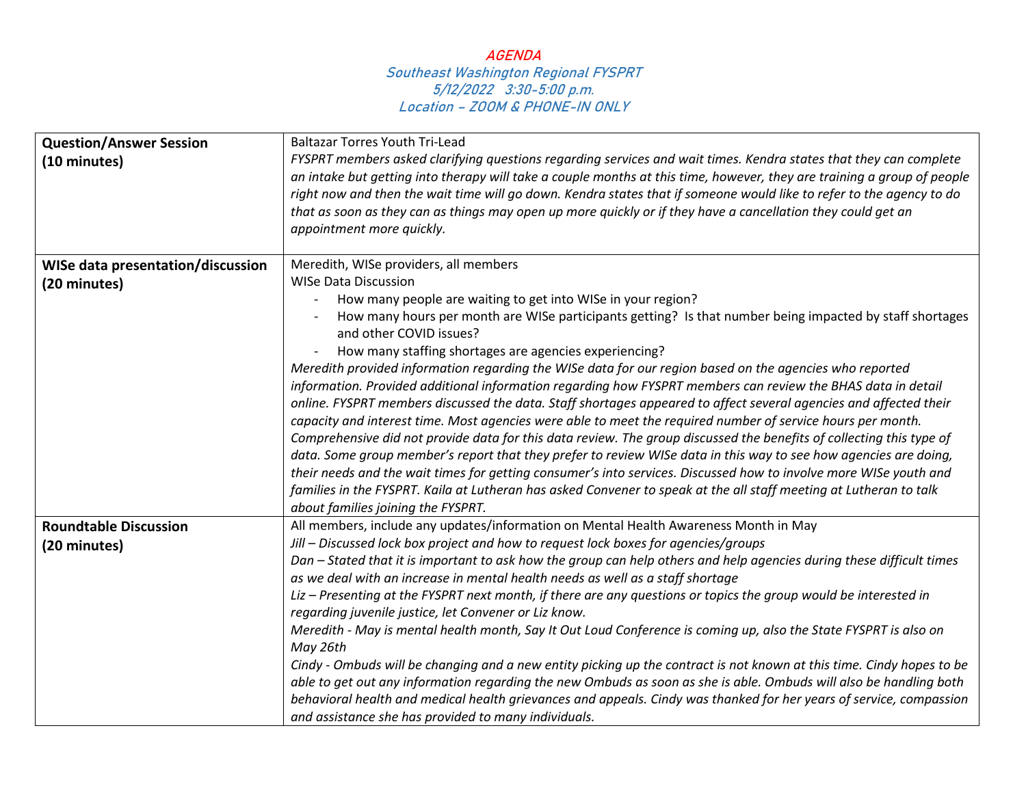| <b>Question/Answer Session</b>           | <b>Baltazar Torres Youth Tri-Lead</b>                                                                                                                                                                                                                                                                                                                                                                                                                                                                                                                                                                                                                                                                                                                                                                                                                                                                                                                                                                                                                                                                                                                                                                                                                                                    |
|------------------------------------------|------------------------------------------------------------------------------------------------------------------------------------------------------------------------------------------------------------------------------------------------------------------------------------------------------------------------------------------------------------------------------------------------------------------------------------------------------------------------------------------------------------------------------------------------------------------------------------------------------------------------------------------------------------------------------------------------------------------------------------------------------------------------------------------------------------------------------------------------------------------------------------------------------------------------------------------------------------------------------------------------------------------------------------------------------------------------------------------------------------------------------------------------------------------------------------------------------------------------------------------------------------------------------------------|
| (10 minutes)                             | FYSPRT members asked clarifying questions regarding services and wait times. Kendra states that they can complete<br>an intake but getting into therapy will take a couple months at this time, however, they are training a group of people<br>right now and then the wait time will go down. Kendra states that if someone would like to refer to the agency to do<br>that as soon as they can as things may open up more quickly or if they have a cancellation they could get an<br>appointment more quickly.                                                                                                                                                                                                                                                                                                                                                                                                                                                                                                                                                                                                                                                                                                                                                                        |
| <b>WISe data presentation/discussion</b> | Meredith, WISe providers, all members                                                                                                                                                                                                                                                                                                                                                                                                                                                                                                                                                                                                                                                                                                                                                                                                                                                                                                                                                                                                                                                                                                                                                                                                                                                    |
| (20 minutes)                             | <b>WISe Data Discussion</b><br>How many people are waiting to get into WISe in your region?<br>How many hours per month are WISe participants getting? Is that number being impacted by staff shortages<br>and other COVID issues?<br>How many staffing shortages are agencies experiencing?<br>Meredith provided information regarding the WISe data for our region based on the agencies who reported<br>information. Provided additional information regarding how FYSPRT members can review the BHAS data in detail<br>online. FYSPRT members discussed the data. Staff shortages appeared to affect several agencies and affected their<br>capacity and interest time. Most agencies were able to meet the required number of service hours per month.<br>Comprehensive did not provide data for this data review. The group discussed the benefits of collecting this type of<br>data. Some group member's report that they prefer to review WISe data in this way to see how agencies are doing,<br>their needs and the wait times for getting consumer's into services. Discussed how to involve more WISe youth and<br>families in the FYSPRT. Kaila at Lutheran has asked Convener to speak at the all staff meeting at Lutheran to talk<br>about families joining the FYSPRT. |
| <b>Roundtable Discussion</b>             | All members, include any updates/information on Mental Health Awareness Month in May                                                                                                                                                                                                                                                                                                                                                                                                                                                                                                                                                                                                                                                                                                                                                                                                                                                                                                                                                                                                                                                                                                                                                                                                     |
| (20 minutes)                             | Jill - Discussed lock box project and how to request lock boxes for agencies/groups<br>Dan - Stated that it is important to ask how the group can help others and help agencies during these difficult times<br>as we deal with an increase in mental health needs as well as a staff shortage<br>Liz - Presenting at the FYSPRT next month, if there are any questions or topics the group would be interested in<br>regarding juvenile justice, let Convener or Liz know.<br>Meredith - May is mental health month, Say It Out Loud Conference is coming up, also the State FYSPRT is also on<br>May 26th<br>Cindy - Ombuds will be changing and a new entity picking up the contract is not known at this time. Cindy hopes to be<br>able to get out any information regarding the new Ombuds as soon as she is able. Ombuds will also be handling both<br>behavioral health and medical health grievances and appeals. Cindy was thanked for her years of service, compassion<br>and assistance she has provided to many individuals.                                                                                                                                                                                                                                                |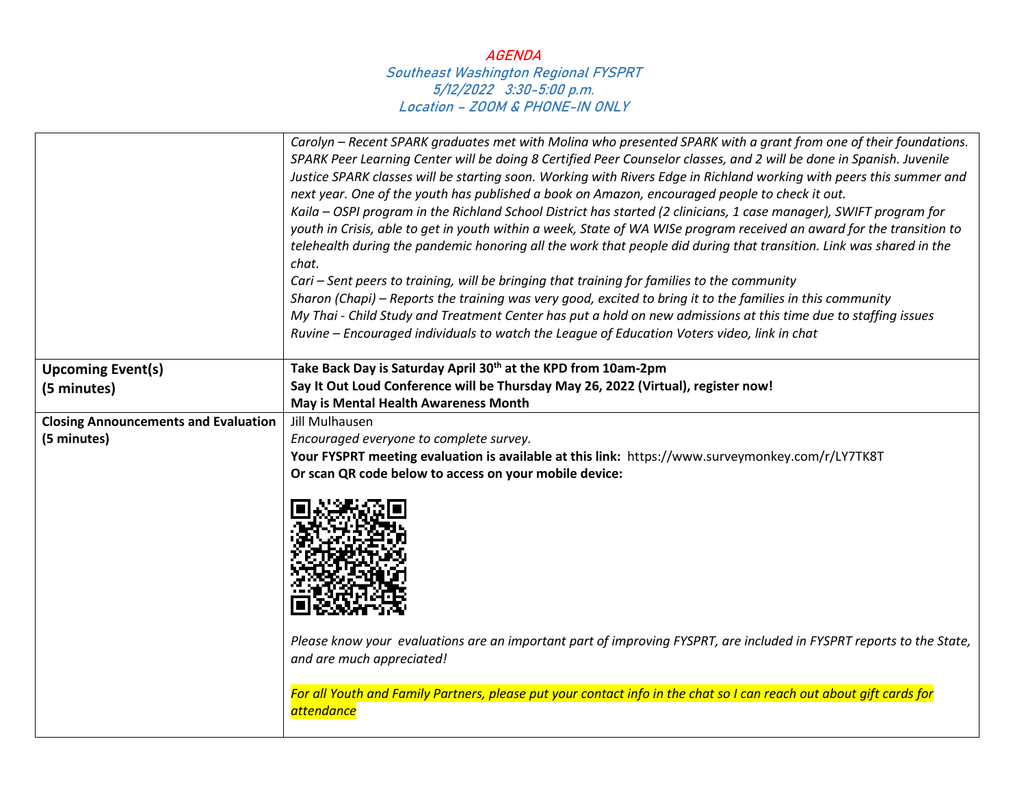|                                             | Carolyn – Recent SPARK graduates met with Molina who presented SPARK with a grant from one of their foundations.<br>SPARK Peer Learning Center will be doing 8 Certified Peer Counselor classes, and 2 will be done in Spanish. Juvenile<br>Justice SPARK classes will be starting soon. Working with Rivers Edge in Richland working with peers this summer and<br>next year. One of the youth has published a book on Amazon, encouraged people to check it out.<br>Kaila – OSPI program in the Richland School District has started (2 clinicians, 1 case manager), SWIFT program for<br>youth in Crisis, able to get in youth within a week, State of WA WISe program received an award for the transition to<br>telehealth during the pandemic honoring all the work that people did during that transition. Link was shared in the |
|---------------------------------------------|------------------------------------------------------------------------------------------------------------------------------------------------------------------------------------------------------------------------------------------------------------------------------------------------------------------------------------------------------------------------------------------------------------------------------------------------------------------------------------------------------------------------------------------------------------------------------------------------------------------------------------------------------------------------------------------------------------------------------------------------------------------------------------------------------------------------------------------|
|                                             | chat.<br>Cari – Sent peers to training, will be bringing that training for families to the community                                                                                                                                                                                                                                                                                                                                                                                                                                                                                                                                                                                                                                                                                                                                     |
|                                             | Sharon (Chapi) – Reports the training was very good, excited to bring it to the families in this community                                                                                                                                                                                                                                                                                                                                                                                                                                                                                                                                                                                                                                                                                                                               |
|                                             | My Thai - Child Study and Treatment Center has put a hold on new admissions at this time due to staffing issues                                                                                                                                                                                                                                                                                                                                                                                                                                                                                                                                                                                                                                                                                                                          |
|                                             | Ruvine - Encouraged individuals to watch the League of Education Voters video, link in chat                                                                                                                                                                                                                                                                                                                                                                                                                                                                                                                                                                                                                                                                                                                                              |
| <b>Upcoming Event(s)</b>                    | Take Back Day is Saturday April 30 <sup>th</sup> at the KPD from 10am-2pm                                                                                                                                                                                                                                                                                                                                                                                                                                                                                                                                                                                                                                                                                                                                                                |
| (5 minutes)                                 | Say It Out Loud Conference will be Thursday May 26, 2022 (Virtual), register now!                                                                                                                                                                                                                                                                                                                                                                                                                                                                                                                                                                                                                                                                                                                                                        |
|                                             | May is Mental Health Awareness Month                                                                                                                                                                                                                                                                                                                                                                                                                                                                                                                                                                                                                                                                                                                                                                                                     |
| <b>Closing Announcements and Evaluation</b> | Jill Mulhausen                                                                                                                                                                                                                                                                                                                                                                                                                                                                                                                                                                                                                                                                                                                                                                                                                           |
| (5 minutes)                                 | Encouraged everyone to complete survey.                                                                                                                                                                                                                                                                                                                                                                                                                                                                                                                                                                                                                                                                                                                                                                                                  |
|                                             | Your FYSPRT meeting evaluation is available at this link: https://www.surveymonkey.com/r/LY7TK8T                                                                                                                                                                                                                                                                                                                                                                                                                                                                                                                                                                                                                                                                                                                                         |
|                                             | Or scan QR code below to access on your mobile device:<br>Please know your evaluations are an important part of improving FYSPRT, are included in FYSPRT reports to the State,<br>and are much appreciated!                                                                                                                                                                                                                                                                                                                                                                                                                                                                                                                                                                                                                              |
|                                             | For all Youth and Family Partners, please put your contact info in the chat so I can reach out about gift cards for<br><i>attendance</i>                                                                                                                                                                                                                                                                                                                                                                                                                                                                                                                                                                                                                                                                                                 |